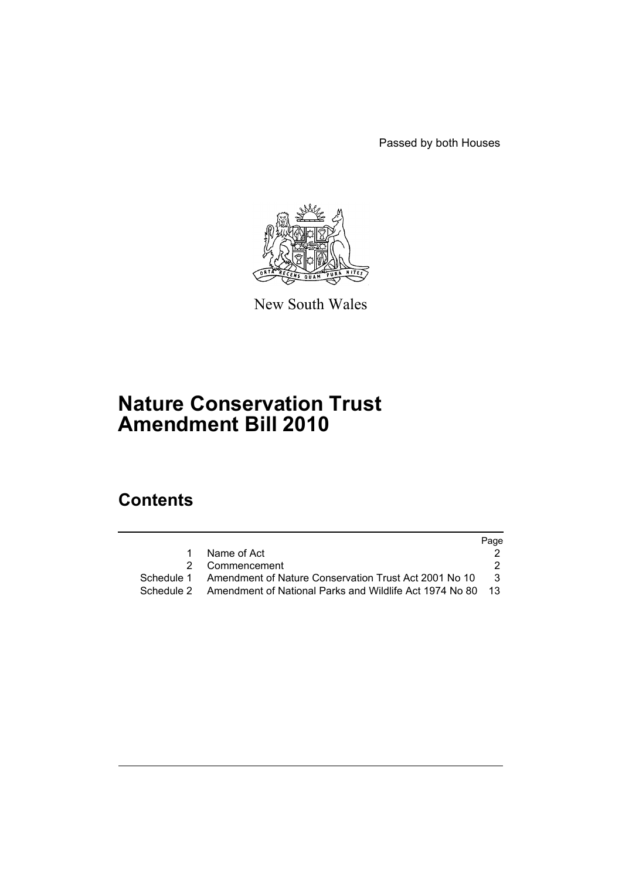Passed by both Houses



New South Wales

# **Nature Conservation Trust Amendment Bill 2010**

# **Contents**

|                                                                       | Page                |
|-----------------------------------------------------------------------|---------------------|
| Name of Act                                                           |                     |
|                                                                       |                     |
| Schedule 1 Amendment of Nature Conservation Trust Act 2001 No 10      | - 3                 |
| Schedule 2 Amendment of National Parks and Wildlife Act 1974 No 80 13 |                     |
|                                                                       | 1<br>2 Commencement |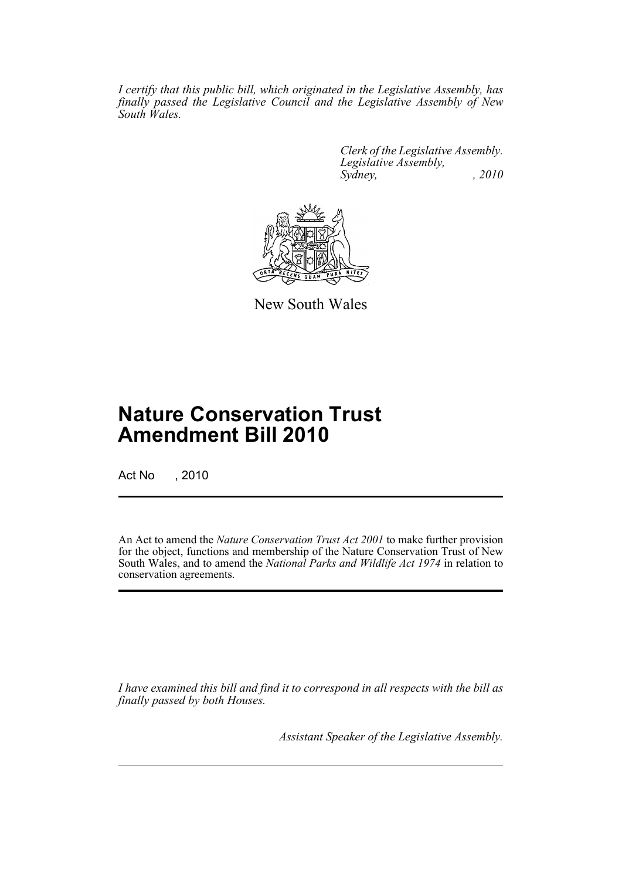*I certify that this public bill, which originated in the Legislative Assembly, has finally passed the Legislative Council and the Legislative Assembly of New South Wales.*

> *Clerk of the Legislative Assembly. Legislative Assembly, Sydney, , 2010*



New South Wales

# **Nature Conservation Trust Amendment Bill 2010**

Act No , 2010

An Act to amend the *Nature Conservation Trust Act 2001* to make further provision for the object, functions and membership of the Nature Conservation Trust of New South Wales, and to amend the *National Parks and Wildlife Act 1974* in relation to conservation agreements.

*I have examined this bill and find it to correspond in all respects with the bill as finally passed by both Houses.*

*Assistant Speaker of the Legislative Assembly.*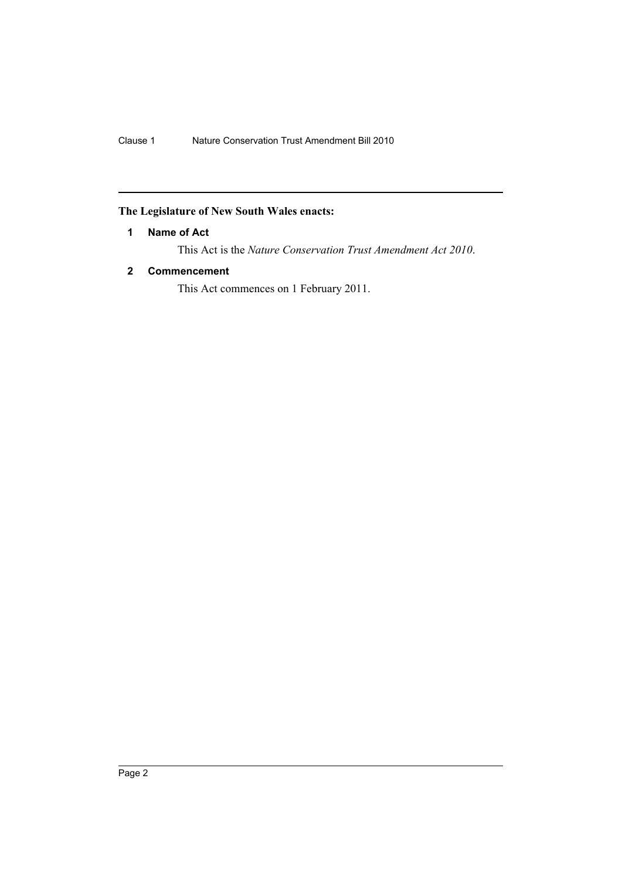## <span id="page-3-0"></span>**The Legislature of New South Wales enacts:**

## **1 Name of Act**

This Act is the *Nature Conservation Trust Amendment Act 2010*.

## <span id="page-3-1"></span>**2 Commencement**

This Act commences on 1 February 2011.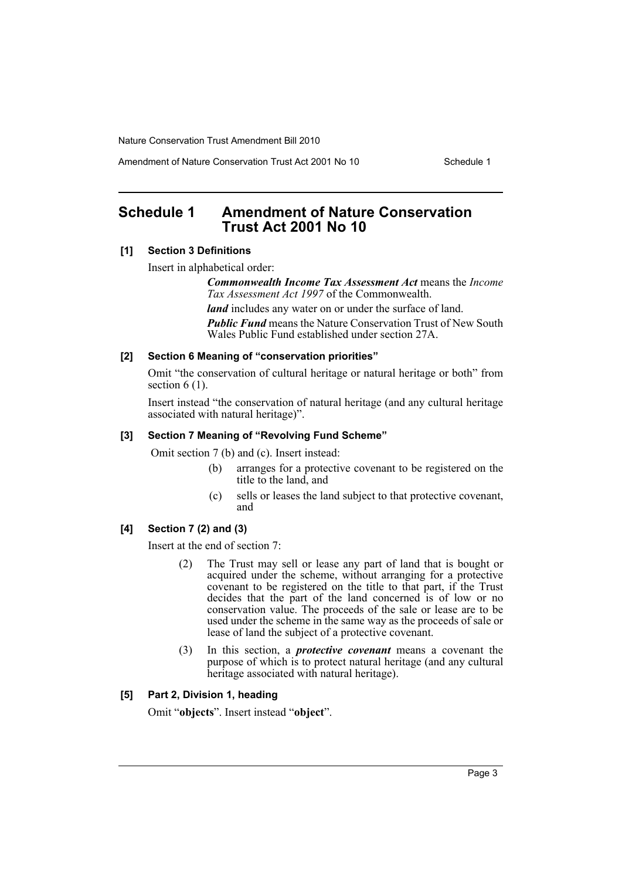Amendment of Nature Conservation Trust Act 2001 No 10 Schedule 1

# <span id="page-4-0"></span>**Schedule 1 Amendment of Nature Conservation Trust Act 2001 No 10**

### **[1] Section 3 Definitions**

Insert in alphabetical order:

*Commonwealth Income Tax Assessment Act* means the *Income Tax Assessment Act 1997* of the Commonwealth.

*land* includes any water on or under the surface of land. *Public Fund* means the Nature Conservation Trust of New South Wales Public Fund established under section 27A.

#### **[2] Section 6 Meaning of "conservation priorities"**

Omit "the conservation of cultural heritage or natural heritage or both" from section 6 (1).

Insert instead "the conservation of natural heritage (and any cultural heritage associated with natural heritage)".

## **[3] Section 7 Meaning of "Revolving Fund Scheme"**

Omit section 7 (b) and (c). Insert instead:

- (b) arranges for a protective covenant to be registered on the title to the land, and
- (c) sells or leases the land subject to that protective covenant, and

## **[4] Section 7 (2) and (3)**

Insert at the end of section 7:

- (2) The Trust may sell or lease any part of land that is bought or acquired under the scheme, without arranging for a protective covenant to be registered on the title to that part, if the Trust decides that the part of the land concerned is of low or no conservation value. The proceeds of the sale or lease are to be used under the scheme in the same way as the proceeds of sale or lease of land the subject of a protective covenant.
- (3) In this section, a *protective covenant* means a covenant the purpose of which is to protect natural heritage (and any cultural heritage associated with natural heritage).

#### **[5] Part 2, Division 1, heading**

Omit "**objects**". Insert instead "**object**".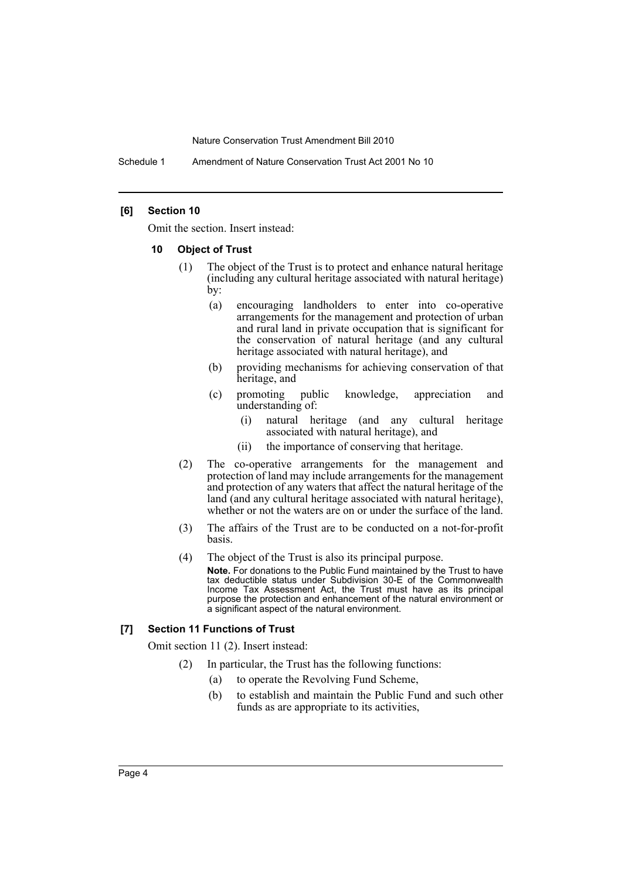Schedule 1 Amendment of Nature Conservation Trust Act 2001 No 10

#### **[6] Section 10**

Omit the section. Insert instead:

#### **10 Object of Trust**

- (1) The object of the Trust is to protect and enhance natural heritage (including any cultural heritage associated with natural heritage) by:
	- (a) encouraging landholders to enter into co-operative arrangements for the management and protection of urban and rural land in private occupation that is significant for the conservation of natural heritage (and any cultural heritage associated with natural heritage), and
	- (b) providing mechanisms for achieving conservation of that heritage, and
	- (c) promoting public knowledge, appreciation and understanding of:
		- (i) natural heritage (and any cultural heritage associated with natural heritage), and
		- (ii) the importance of conserving that heritage.
- (2) The co-operative arrangements for the management and protection of land may include arrangements for the management and protection of any waters that affect the natural heritage of the land (and any cultural heritage associated with natural heritage), whether or not the waters are on or under the surface of the land.
- (3) The affairs of the Trust are to be conducted on a not-for-profit basis.
- (4) The object of the Trust is also its principal purpose. **Note.** For donations to the Public Fund maintained by the Trust to have tax deductible status under Subdivision 30-E of the Commonwealth Income Tax Assessment Act, the Trust must have as its principal purpose the protection and enhancement of the natural environment or a significant aspect of the natural environment.

#### **[7] Section 11 Functions of Trust**

Omit section 11 (2). Insert instead:

- (2) In particular, the Trust has the following functions:
	- (a) to operate the Revolving Fund Scheme,
	- (b) to establish and maintain the Public Fund and such other funds as are appropriate to its activities,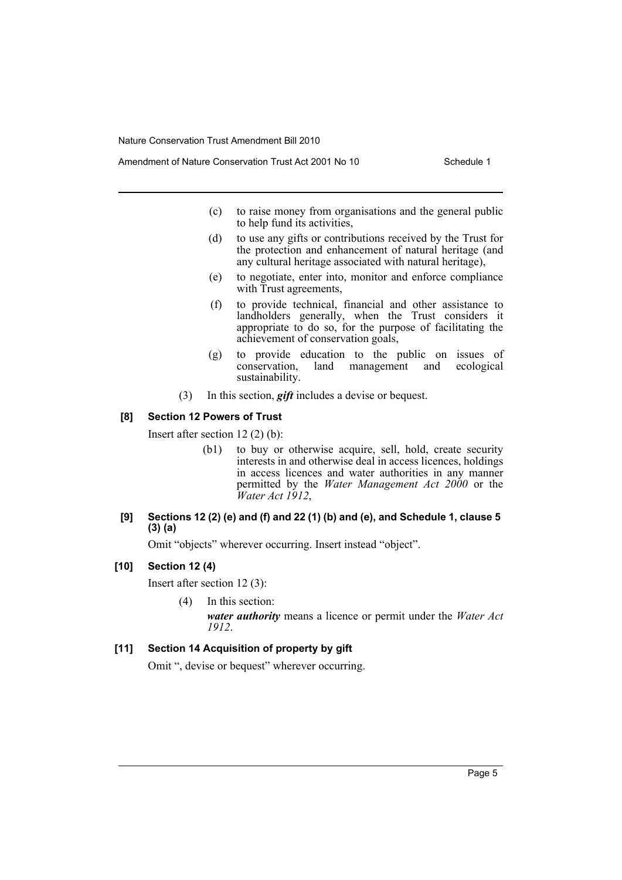- Amendment of Nature Conservation Trust Act 2001 No 10 Schedule 1
	- (c) to raise money from organisations and the general public to help fund its activities,
	- (d) to use any gifts or contributions received by the Trust for the protection and enhancement of natural heritage (and any cultural heritage associated with natural heritage),
	- (e) to negotiate, enter into, monitor and enforce compliance with Trust agreements,
	- (f) to provide technical, financial and other assistance to landholders generally, when the Trust considers it appropriate to do so, for the purpose of facilitating the achievement of conservation goals,
	- (g) to provide education to the public on issues of conservation, land management and ecological sustainability.
	- (3) In this section, *gift* includes a devise or bequest.

#### **[8] Section 12 Powers of Trust**

Insert after section 12 (2) (b):

- (b1) to buy or otherwise acquire, sell, hold, create security interests in and otherwise deal in access licences, holdings in access licences and water authorities in any manner permitted by the *Water Management Act 2000* or the *Water Act 1912*,
- **[9] Sections 12 (2) (e) and (f) and 22 (1) (b) and (e), and Schedule 1, clause 5 (3) (a)**

Omit "objects" wherever occurring. Insert instead "object".

#### **[10] Section 12 (4)**

Insert after section 12 (3):

(4) In this section:

*water authority* means a licence or permit under the *Water Act 1912*.

#### **[11] Section 14 Acquisition of property by gift**

Omit ", devise or bequest" wherever occurring.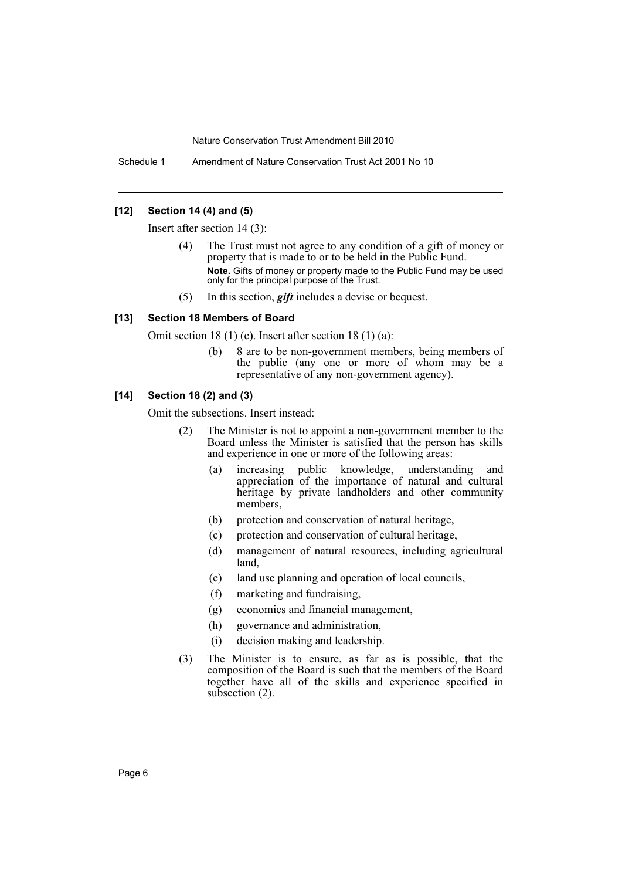Schedule 1 Amendment of Nature Conservation Trust Act 2001 No 10

### **[12] Section 14 (4) and (5)**

Insert after section 14 (3):

- (4) The Trust must not agree to any condition of a gift of money or property that is made to or to be held in the Public Fund. **Note.** Gifts of money or property made to the Public Fund may be used only for the principal purpose of the Trust.
- (5) In this section, *gift* includes a devise or bequest.

#### **[13] Section 18 Members of Board**

Omit section 18 (1) (c). Insert after section 18 (1) (a):

(b) 8 are to be non-government members, being members of the public (any one or more of whom may be a representative of any non-government agency).

## **[14] Section 18 (2) and (3)**

Omit the subsections. Insert instead:

- (2) The Minister is not to appoint a non-government member to the Board unless the Minister is satisfied that the person has skills and experience in one or more of the following areas:
	- (a) increasing public knowledge, understanding and appreciation of the importance of natural and cultural heritage by private landholders and other community members,
	- (b) protection and conservation of natural heritage,
	- (c) protection and conservation of cultural heritage,
	- (d) management of natural resources, including agricultural land,
	- (e) land use planning and operation of local councils,
	- (f) marketing and fundraising,
	- (g) economics and financial management,
	- (h) governance and administration,
	- (i) decision making and leadership.
- (3) The Minister is to ensure, as far as is possible, that the composition of the Board is such that the members of the Board together have all of the skills and experience specified in subsection  $(2)$ .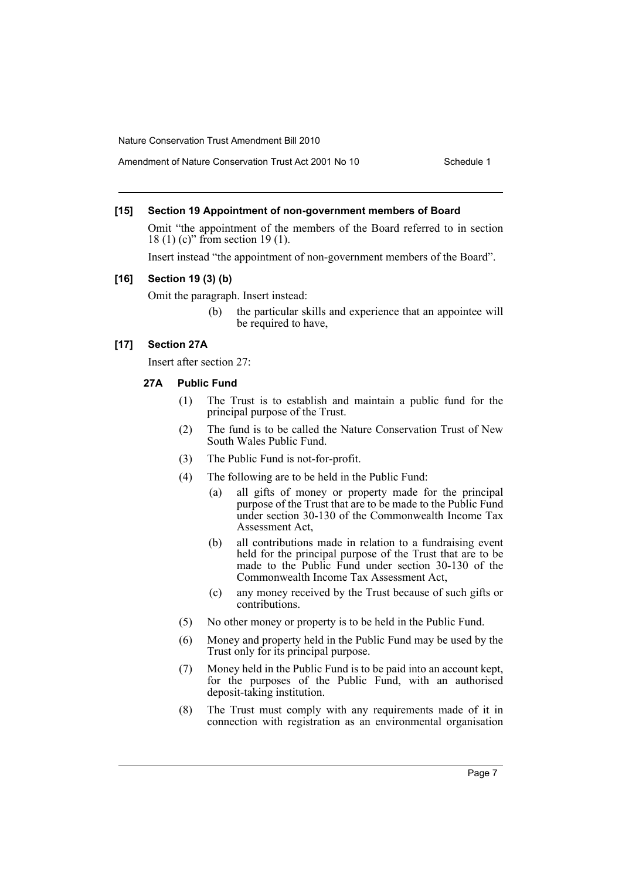### Amendment of Nature Conservation Trust Act 2001 No 10 Schedule 1

#### **[15] Section 19 Appointment of non-government members of Board**

Omit "the appointment of the members of the Board referred to in section 18 (1) (c)" from section 19 (1).

Insert instead "the appointment of non-government members of the Board".

#### **[16] Section 19 (3) (b)**

Omit the paragraph. Insert instead:

(b) the particular skills and experience that an appointee will be required to have,

## **[17] Section 27A**

Insert after section 27:

#### **27A Public Fund**

- (1) The Trust is to establish and maintain a public fund for the principal purpose of the Trust.
- (2) The fund is to be called the Nature Conservation Trust of New South Wales Public Fund.
- (3) The Public Fund is not-for-profit.
- (4) The following are to be held in the Public Fund:
	- (a) all gifts of money or property made for the principal purpose of the Trust that are to be made to the Public Fund under section 30-130 of the Commonwealth Income Tax Assessment Act,
	- (b) all contributions made in relation to a fundraising event held for the principal purpose of the Trust that are to be made to the Public Fund under section 30-130 of the Commonwealth Income Tax Assessment Act,
	- (c) any money received by the Trust because of such gifts or contributions.
- (5) No other money or property is to be held in the Public Fund.
- (6) Money and property held in the Public Fund may be used by the Trust only for its principal purpose.
- (7) Money held in the Public Fund is to be paid into an account kept, for the purposes of the Public Fund, with an authorised deposit-taking institution.
- (8) The Trust must comply with any requirements made of it in connection with registration as an environmental organisation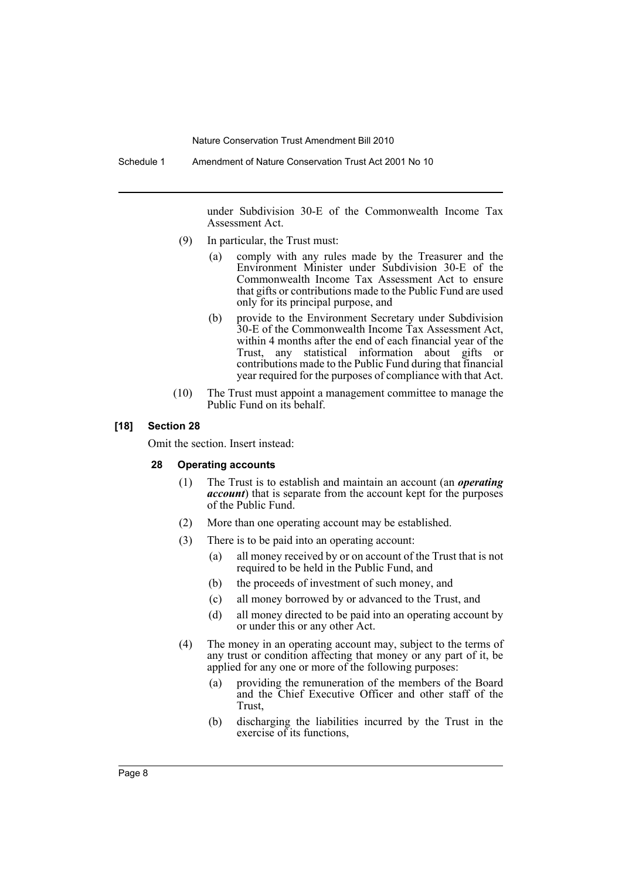Schedule 1 Amendment of Nature Conservation Trust Act 2001 No 10

under Subdivision 30-E of the Commonwealth Income Tax Assessment Act.

- (9) In particular, the Trust must:
	- (a) comply with any rules made by the Treasurer and the Environment Minister under Subdivision 30-E of the Commonwealth Income Tax Assessment Act to ensure that gifts or contributions made to the Public Fund are used only for its principal purpose, and
	- (b) provide to the Environment Secretary under Subdivision 30-E of the Commonwealth Income Tax Assessment Act, within 4 months after the end of each financial year of the Trust, any statistical information about gifts or contributions made to the Public Fund during that financial year required for the purposes of compliance with that Act.
- (10) The Trust must appoint a management committee to manage the Public Fund on its behalf.

#### **[18] Section 28**

Omit the section. Insert instead:

#### **28 Operating accounts**

- (1) The Trust is to establish and maintain an account (an *operating account*) that is separate from the account kept for the purposes of the Public Fund.
- (2) More than one operating account may be established.
- (3) There is to be paid into an operating account:
	- (a) all money received by or on account of the Trust that is not required to be held in the Public Fund, and
	- (b) the proceeds of investment of such money, and
	- (c) all money borrowed by or advanced to the Trust, and
	- (d) all money directed to be paid into an operating account by or under this or any other Act.
- (4) The money in an operating account may, subject to the terms of any trust or condition affecting that money or any part of it, be applied for any one or more of the following purposes:
	- (a) providing the remuneration of the members of the Board and the Chief Executive Officer and other staff of the Trust,
	- (b) discharging the liabilities incurred by the Trust in the exercise of its functions,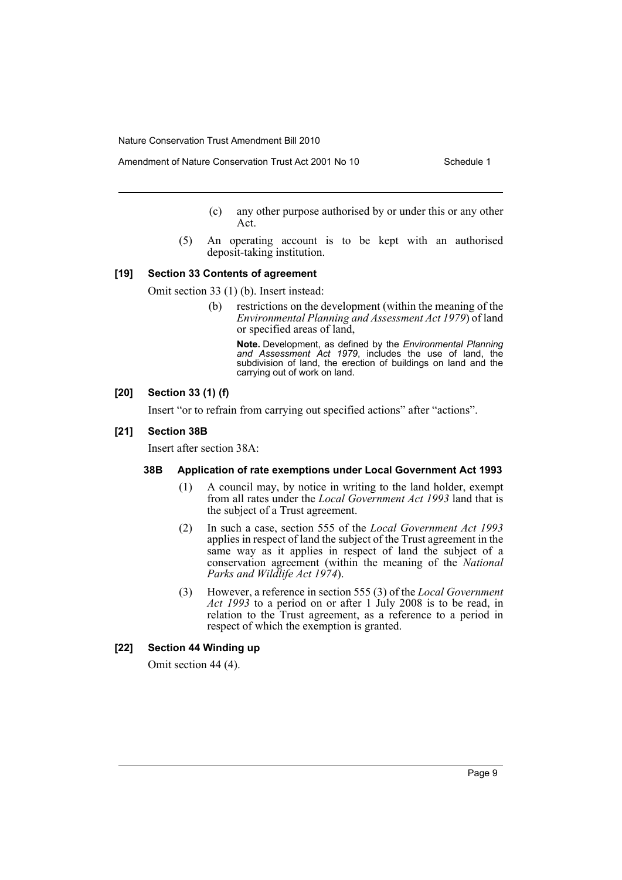- Amendment of Nature Conservation Trust Act 2001 No 10 Schedule 1
	- (c) any other purpose authorised by or under this or any other Act.
	- (5) An operating account is to be kept with an authorised deposit-taking institution.

#### **[19] Section 33 Contents of agreement**

Omit section 33 (1) (b). Insert instead:

(b) restrictions on the development (within the meaning of the *Environmental Planning and Assessment Act 1979*) of land or specified areas of land,

**Note.** Development, as defined by the *Environmental Planning and Assessment Act 1979*, includes the use of land, the subdivision of land, the erection of buildings on land and the carrying out of work on land.

#### **[20] Section 33 (1) (f)**

Insert "or to refrain from carrying out specified actions" after "actions".

#### **[21] Section 38B**

Insert after section 38A:

#### **38B Application of rate exemptions under Local Government Act 1993**

- (1) A council may, by notice in writing to the land holder, exempt from all rates under the *Local Government Act 1993* land that is the subject of a Trust agreement.
- (2) In such a case, section 555 of the *Local Government Act 1993* applies in respect of land the subject of the Trust agreement in the same way as it applies in respect of land the subject of a conservation agreement (within the meaning of the *National Parks and Wildlife Act 1974*).
- (3) However, a reference in section 555 (3) of the *Local Government Act 1993* to a period on or after 1 July 2008 is to be read, in relation to the Trust agreement, as a reference to a period in respect of which the exemption is granted.

### **[22] Section 44 Winding up**

Omit section 44 (4).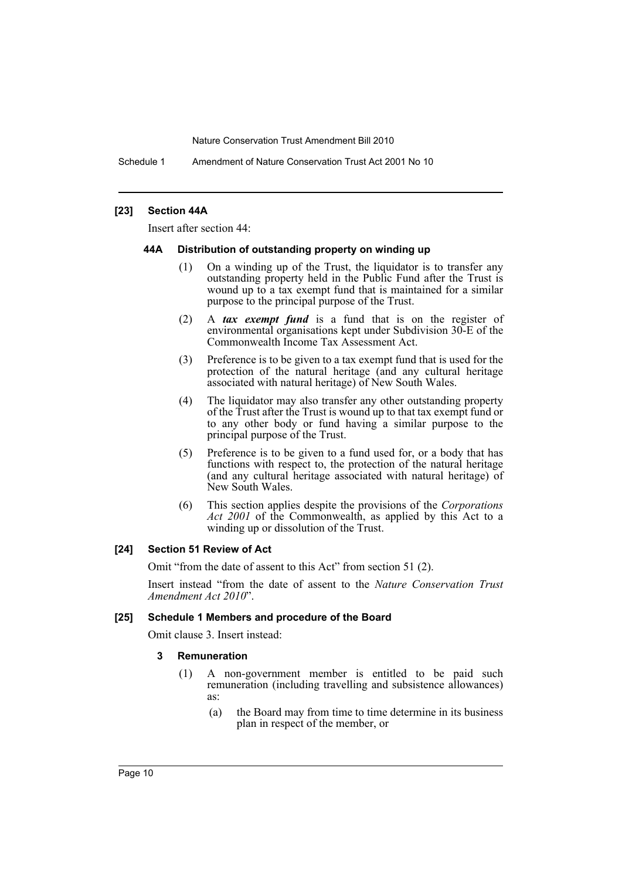Schedule 1 Amendment of Nature Conservation Trust Act 2001 No 10

#### **[23] Section 44A**

Insert after section 44:

#### **44A Distribution of outstanding property on winding up**

- (1) On a winding up of the Trust, the liquidator is to transfer any outstanding property held in the Public Fund after the Trust is wound up to a tax exempt fund that is maintained for a similar purpose to the principal purpose of the Trust.
- (2) A *tax exempt fund* is a fund that is on the register of environmental organisations kept under Subdivision 30-E of the Commonwealth Income Tax Assessment Act.
- (3) Preference is to be given to a tax exempt fund that is used for the protection of the natural heritage (and any cultural heritage associated with natural heritage) of New South Wales.
- (4) The liquidator may also transfer any other outstanding property of the Trust after the Trust is wound up to that tax exempt fund or to any other body or fund having a similar purpose to the principal purpose of the Trust.
- (5) Preference is to be given to a fund used for, or a body that has functions with respect to, the protection of the natural heritage (and any cultural heritage associated with natural heritage) of New South Wales.
- (6) This section applies despite the provisions of the *Corporations Act 2001* of the Commonwealth, as applied by this Act to a winding up or dissolution of the Trust.

#### **[24] Section 51 Review of Act**

Omit "from the date of assent to this Act" from section 51 (2).

Insert instead "from the date of assent to the *Nature Conservation Trust Amendment Act 2010*".

#### **[25] Schedule 1 Members and procedure of the Board**

Omit clause 3. Insert instead:

#### **3 Remuneration**

- (1) A non-government member is entitled to be paid such remuneration (including travelling and subsistence allowances) as:
	- (a) the Board may from time to time determine in its business plan in respect of the member, or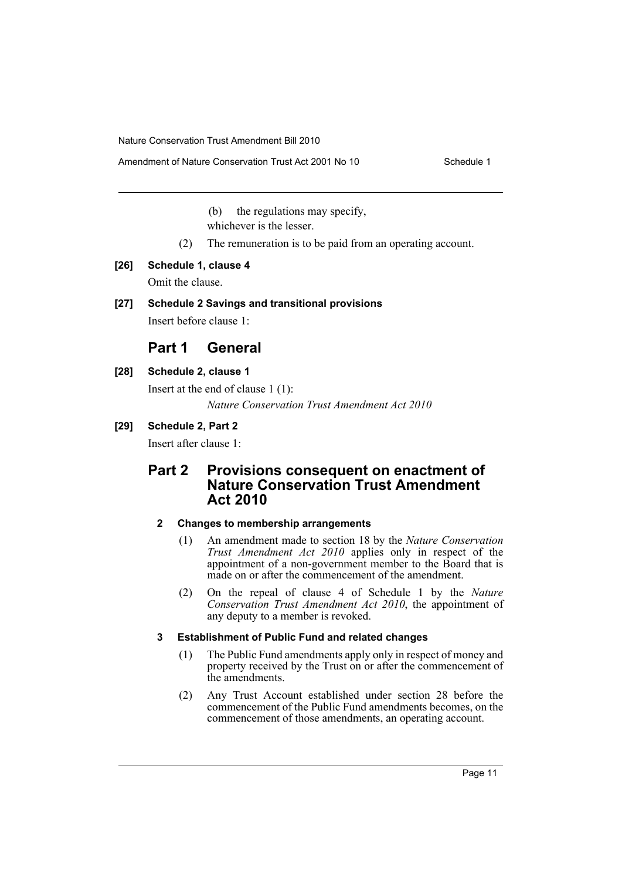(b) the regulations may specify, whichever is the lesser.

- (2) The remuneration is to be paid from an operating account.
- **[26] Schedule 1, clause 4**

Omit the clause.

## **[27] Schedule 2 Savings and transitional provisions**

Insert before clause 1:

## **Part 1 General**

## **[28] Schedule 2, clause 1**

Insert at the end of clause 1 (1): *Nature Conservation Trust Amendment Act 2010*

## **[29] Schedule 2, Part 2**

Insert after clause 1:

## **Part 2 Provisions consequent on enactment of Nature Conservation Trust Amendment Act 2010**

## **2 Changes to membership arrangements**

- (1) An amendment made to section 18 by the *Nature Conservation Trust Amendment Act 2010* applies only in respect of the appointment of a non-government member to the Board that is made on or after the commencement of the amendment.
- (2) On the repeal of clause 4 of Schedule 1 by the *Nature Conservation Trust Amendment Act 2010*, the appointment of any deputy to a member is revoked.

## **3 Establishment of Public Fund and related changes**

- (1) The Public Fund amendments apply only in respect of money and property received by the Trust on or after the commencement of the amendments.
- (2) Any Trust Account established under section 28 before the commencement of the Public Fund amendments becomes, on the commencement of those amendments, an operating account.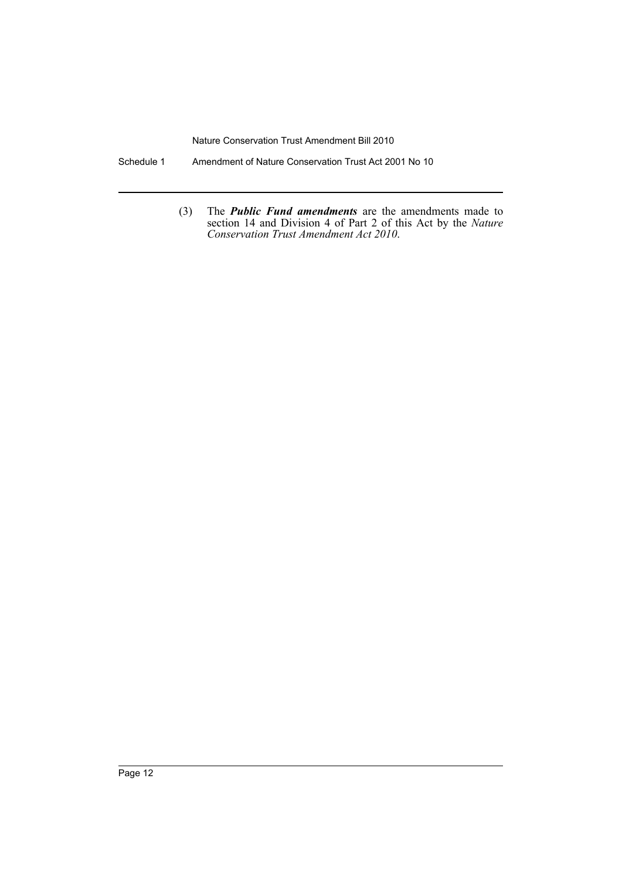- Schedule 1 Amendment of Nature Conservation Trust Act 2001 No 10
	- (3) The *Public Fund amendments* are the amendments made to section 14 and Division 4 of Part 2 of this Act by the *Nature Conservation Trust Amendment Act 2010*.